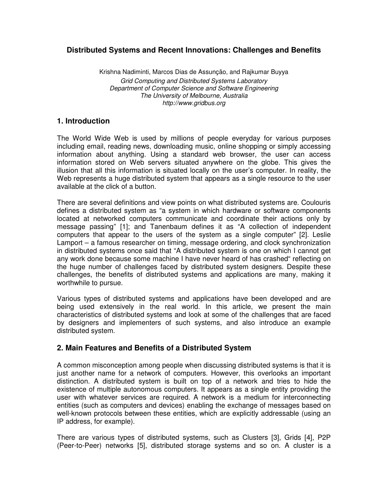# **Distributed Systems and Recent Innovations: Challenges and Benefits**

Krishna Nadiminti, Marcos Dias de Assunção, and Rajkumar Buyya Grid Computing and Distributed Systems Laboratory Department of Computer Science and Software Engineering The University of Melbourne, Australia http://www.gridbus.org

## **1. Introduction**

The World Wide Web is used by millions of people everyday for various purposes including email, reading news, downloading music, online shopping or simply accessing information about anything. Using a standard web browser, the user can access information stored on Web servers situated anywhere on the globe. This gives the illusion that all this information is situated locally on the user's computer. In reality, the Web represents a huge distributed system that appears as a single resource to the user available at the click of a button.

There are several definitions and view points on what distributed systems are. Coulouris defines a distributed system as "a system in which hardware or software components located at networked computers communicate and coordinate their actions only by message passing" [1]; and Tanenbaum defines it as "A collection of independent computers that appear to the users of the system as a single computer" [2]. Leslie Lamport – a famous researcher on timing, message ordering, and clock synchronization in distributed systems once said that "A distributed system is one on which I cannot get any work done because some machine I have never heard of has crashed" reflecting on the huge number of challenges faced by distributed system designers. Despite these challenges, the benefits of distributed systems and applications are many, making it worthwhile to pursue.

Various types of distributed systems and applications have been developed and are being used extensively in the real world. In this article, we present the main characteristics of distributed systems and look at some of the challenges that are faced by designers and implementers of such systems, and also introduce an example distributed system.

## **2. Main Features and Benefits of a Distributed System**

A common misconception among people when discussing distributed systems is that it is just another name for a network of computers. However, this overlooks an important distinction. A distributed system is built on top of a network and tries to hide the existence of multiple autonomous computers. It appears as a single entity providing the user with whatever services are required. A network is a medium for interconnecting entities (such as computers and devices) enabling the exchange of messages based on well-known protocols between these entities, which are explicitly addressable (using an IP address, for example).

There are various types of distributed systems, such as Clusters [3], Grids [4], P2P (Peer-to-Peer) networks [5], distributed storage systems and so on. A cluster is a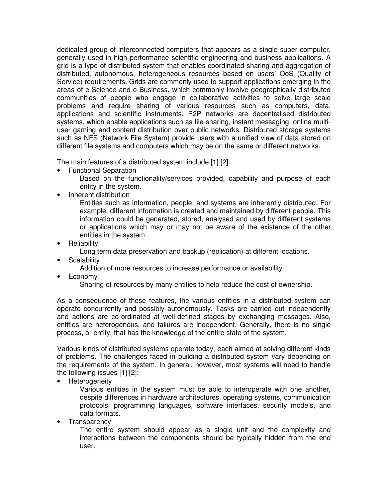dedicated group of interconnected computers that appears as a single super-computer, generally used in high performance scientific engineering and business applications. A grid is a type of distributed system that enables coordinated sharing and aggregation of distributed, autonomous, heterogeneous resources based on users' QoS (Quality of Service) requirements. Grids are commonly used to support applications emerging in the areas of e-Science and e-Business, which commonly involve geographically distributed communities of people who engage in collaborative activities to solve large scale problems and require sharing of various resources such as computers, data, applications and scientific instruments. P2P networks are decentralised distributed systems, which enable applications such as file-sharing, instant messaging, online multiuser gaming and content distribution over public networks. Distributed storage systems such as NFS (Network File System) provide users with a unified view of data stored on different file systems and computers which may be on the same or different networks.

The main features of a distributed system include [1] [2]:

- Functional Separation
	- Based on the functionality/services provided, capability and purpose of each entity in the system.
- Inherent distribution

Entities such as information, people, and systems are inherently distributed. For example, different information is created and maintained by different people. This information could be generated, stored, analysed and used by different systems or applications which may or may not be aware of the existence of the other entities in the system.

• Reliability

Long term data preservation and backup (replication) at different locations.

**Scalability** 

Addition of more resources to increase performance or availability.

• Economy

Sharing of resources by many entities to help reduce the cost of ownership.

As a consequence of these features, the various entities in a distributed system can operate concurrently and possibly autonomously. Tasks are carried out independently and actions are co-ordinated at well-defined stages by exchanging messages. Also, entities are heterogenous, and failures are independent. Generally, there is no single process, or entity, that has the knowledge of the entire state of the system.

Various kinds of distributed systems operate today, each aimed at solving different kinds of problems. The challenges faced in building a distributed system vary depending on the requirements of the system. In general, however, most systems will need to handle the following issues [1] [2]:

**Heterogeneity** 

Various entities in the system must be able to interoperate with one another, despite differences in hardware architectures, operating systems, communication protocols, programming languages, software interfaces, security models, and data formats.

**Transparency** 

The entire system should appear as a single unit and the complexity and interactions between the components should be typically hidden from the end user.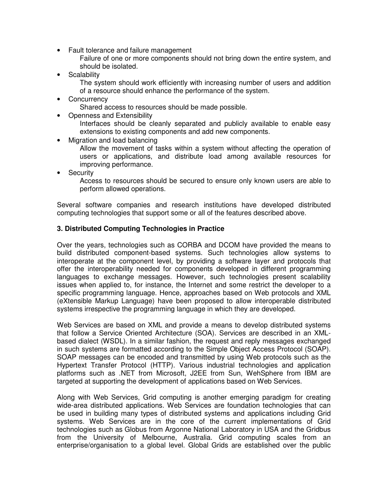• Fault tolerance and failure management

Failure of one or more components should not bring down the entire system, and should be isolated.

• Scalability

The system should work efficiently with increasing number of users and addition of a resource should enhance the performance of the system.

**Concurrency** 

Shared access to resources should be made possible.

• Openness and Extensibility

Interfaces should be cleanly separated and publicly available to enable easy extensions to existing components and add new components.

• Migration and load balancing

Allow the movement of tasks within a system without affecting the operation of users or applications, and distribute load among available resources for improving performance.

**Security** 

Access to resources should be secured to ensure only known users are able to perform allowed operations.

Several software companies and research institutions have developed distributed computing technologies that support some or all of the features described above.

#### **3. Distributed Computing Technologies in Practice**

Over the years, technologies such as CORBA and DCOM have provided the means to build distributed component-based systems. Such technologies allow systems to interoperate at the component level, by providing a software layer and protocols that offer the interoperability needed for components developed in different programming languages to exchange messages. However, such technologies present scalability issues when applied to, for instance, the Internet and some restrict the developer to a specific programming language. Hence, approaches based on Web protocols and XML (eXtensible Markup Language) have been proposed to allow interoperable distributed systems irrespective the programming language in which they are developed.

Web Services are based on XML and provide a means to develop distributed systems that follow a Service Oriented Architecture (SOA). Services are described in an XMLbased dialect (WSDL). In a similar fashion, the request and reply messages exchanged in such systems are formatted according to the Simple Object Access Protocol (SOAP). SOAP messages can be encoded and transmitted by using Web protocols such as the Hypertext Transfer Protocol (HTTP). Various industrial technologies and application platforms such as .NET from Microsoft, J2EE from Sun, WehSphere from IBM are targeted at supporting the development of applications based on Web Services.

Along with Web Services, Grid computing is another emerging paradigm for creating wide-area distributed applications. Web Services are foundation technologies that can be used in building many types of distributed systems and applications including Grid systems. Web Services are in the core of the current implementations of Grid technologies such as Globus from Argonne National Laboratory in USA and the Gridbus from the University of Melbourne, Australia. Grid computing scales from an enterprise/organisation to a global level. Global Grids are established over the public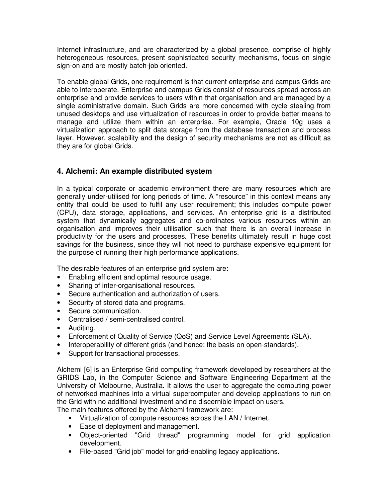Internet infrastructure, and are characterized by a global presence, comprise of highly heterogeneous resources, present sophisticated security mechanisms, focus on single sign-on and are mostly batch-job oriented.

To enable global Grids, one requirement is that current enterprise and campus Grids are able to interoperate. Enterprise and campus Grids consist of resources spread across an enterprise and provide services to users within that organisation and are managed by a single administrative domain. Such Grids are more concerned with cycle stealing from unused desktops and use virtualization of resources in order to provide better means to manage and utilize them within an enterprise. For example, Oracle 10g uses a virtualization approach to split data storage from the database transaction and process layer. However, scalability and the design of security mechanisms are not as difficult as they are for global Grids.

# **4. Alchemi: An example distributed system**

In a typical corporate or academic environment there are many resources which are generally under-utilised for long periods of time. A "resource" in this context means any entity that could be used to fulfil any user requirement; this includes compute power (CPU), data storage, applications, and services. An enterprise grid is a distributed system that dynamically aggregates and co-ordinates various resources within an organisation and improves their utilisation such that there is an overall increase in productivity for the users and processes. These benefits ultimately result in huge cost savings for the business, since they will not need to purchase expensive equipment for the purpose of running their high performance applications.

The desirable features of an enterprise grid system are:

- Enabling efficient and optimal resource usage.
- Sharing of inter-organisational resources.
- Secure authentication and authorization of users.
- Security of stored data and programs.
- Secure communication.
- Centralised / semi-centralised control.
- Auditing.
- Enforcement of Quality of Service (QoS) and Service Level Agreements (SLA).
- Interoperability of different grids (and hence: the basis on open-standards).
- Support for transactional processes.

Alchemi [6] is an Enterprise Grid computing framework developed by researchers at the GRIDS Lab, in the Computer Science and Software Engineering Department at the University of Melbourne, Australia. It allows the user to aggregate the computing power of networked machines into a virtual supercomputer and develop applications to run on the Grid with no additional investment and no discernible impact on users.

The main features offered by the Alchemi framework are:

- Virtualization of compute resources across the LAN / Internet.
- Ease of deployment and management.
- Object-oriented "Grid thread" programming model for grid application development.
- File-based "Grid job" model for grid-enabling legacy applications.